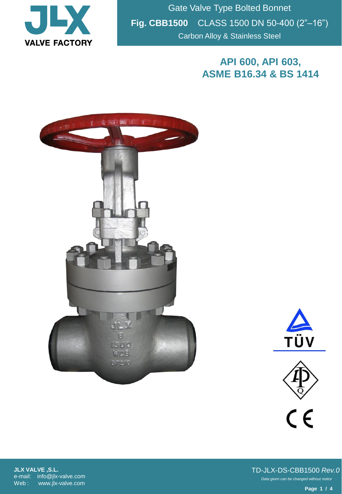

Gate Valve Type Bolted Bonnet **Fig. CBB1500** CLASS 1500 DN 50-400 (2"–16") Carbon Alloy & Stainless Steel

## **API 600, API 603, ASME B16.34 & BS 1414**







**JLX VALVE ,S.L.** e-mail: info@jlx-valve.com Web : www.jlx-valve.com

*Data given can be changed without notice.* TD-JLX-DS-CBB1500 *Rev.0*

**Page 1 / 4**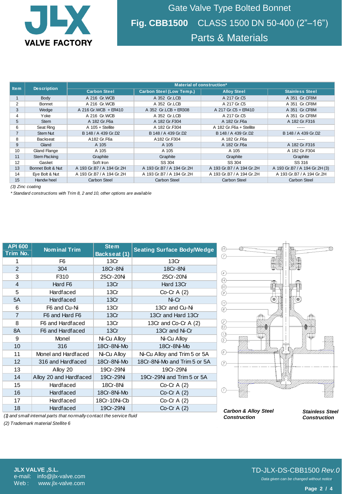

Gate Valve Type Bolted Bonnet **Fig. CBB1500** CLASS 1500 DN 50-400 (2"–16") Parts & Materials

| <b>Item</b>      | <b>Description</b> | Material of construction* |                                 |                           |                               |  |
|------------------|--------------------|---------------------------|---------------------------------|---------------------------|-------------------------------|--|
|                  |                    | <b>Carbon Steel</b>       | <b>Carbon Steel (Low Temp.)</b> | <b>Alloy Steel</b>        | <b>Stainless Steel</b>        |  |
|                  | Body               | A 216 Gr.WCB              | A 352 Gr.LCB                    | A 217 Gr.C5               | A 351 Gr.CF8M                 |  |
| $\overline{2}$   | Bonnet             | A 216 Gr.WCB              | A 352 Gr.LCB                    | A 217 Gr.C5               | A 351 Gr.CF8M                 |  |
| 3                | Wedge              | A 216 Gr. WCB + ER410     | A 352 Gr.LCB + ER308            | A 217 Gr.C5 + ER410       | A 351 Gr.CF8M                 |  |
| 4                | Yoke               | A 216 Gr.WCB              | A 352 Gr.LCB                    | A 217 Gr.C5               | A 351 Gr.CF8M                 |  |
| 5                | Stem               | A 182 Gr.F6a              | A 182 Gr.F304                   | A 182 Gr.F6a              | A 182 Gr.F316                 |  |
| 6                | Seat Ring          | $A$ 105 + Stellite        | A 182 Gr.F304                   | A 182 Gr. F6a + Stellite  | -----                         |  |
|                  | <b>Stem Nut</b>    | B 148 / A 439 Gr.D2       | B 148 / A 439 Gr.D2             | B 148 / A 439 Gr.D2       | B 148 / A 439 Gr.D2           |  |
| 8                | <b>Backseat</b>    | A182 Gr.F6a               | A182 Gr.F304                    | A 182 Gr.F6a              |                               |  |
| 9                | Gland              | A 105                     | A 105                           | A 182 Gr.F6a              | A 182 Gr.F316                 |  |
| 10               | Gland Flange       | A 105                     | A 105                           | A 105                     | A 182 Gr.F304                 |  |
| 11               | Stem Packing       | Graphite                  | Graphite                        | Graphite                  | Graphite                      |  |
| 12               | Gasket             | Soft Iron                 | SS 304                          | SS 304                    | SS 316                        |  |
| 13               | Bonnet Bolt & Nut  | A 193 Gr.B7 / A 194 Gr.2H | A 193 Gr.B7 / A 194 Gr.2H       | A 193 Gr.B7 / A 194 Gr.2H | A 193 Gr.B7 / A 194 Gr.2H (3) |  |
| 14               | Eye Bolt & Nut     | A 193 Gr.B7 / A 194 Gr.2H | A 193 Gr.B7 / A 194 Gr.2H       | A 193 Gr.B7 / A 194 Gr.2H | A 193 Gr.B7 / A 194 Gr.2H     |  |
| 15               | Handw heel         | <b>Carbon Steel</b>       | Carbon Steel                    | <b>Carbon Steel</b>       | <b>Carbon Steel</b>           |  |
| (3) Zinc coating |                    |                           |                                 |                           |                               |  |

*(3) Zinc coating*

*\* Standard constructions with Trim 8, 2 and 10, other options are available*

| <b>API 600</b>                                                       | <b>Nominal Trim</b>    | <b>Stem</b>  | <b>Seating Surface Body/Wedge</b> |  |  |  |
|----------------------------------------------------------------------|------------------------|--------------|-----------------------------------|--|--|--|
| Trim No.                                                             |                        | Backseat (1) |                                   |  |  |  |
| 1                                                                    | F6                     | 13Cr         | 13Cr                              |  |  |  |
| $\overline{2}$                                                       | 304                    | 18Cr-8Ni     | 18Cr-8Ni                          |  |  |  |
| 3                                                                    | F310                   | 25Cr-20Ni    | 25Cr-20Ni                         |  |  |  |
| $\overline{4}$                                                       | Hard F6                | 13Cr         | Hard 13Cr                         |  |  |  |
| 5                                                                    | <b>Hardfaced</b>       | 13Cr         | $Co-Cr A(2)$                      |  |  |  |
| 5A                                                                   | <b>Hardfaced</b>       | 13Cr         | Ni-Cr                             |  |  |  |
| 6                                                                    | F6 and Cu-Ni           | 13Cr         | 13Cr and Cu-Ni                    |  |  |  |
| $\overline{7}$                                                       | F6 and Hard F6         | 13Cr         | 13Cr and Hard 13Cr                |  |  |  |
| 8                                                                    | F6 and Hardfaced       | 13Cr         | 13Cr and Co-Cr A (2)              |  |  |  |
| 8A                                                                   | F6 and Hardfaced       | 13Cr         | 13Cr and Ni-Cr                    |  |  |  |
| 9                                                                    | Monel                  | Ni-Cu Alloy  | Ni-Cu Alloy                       |  |  |  |
| 10                                                                   | 316                    | 18Cr-8Ni-Mo  | 18Cr-8Ni-Mo                       |  |  |  |
| 11                                                                   | Monel and Hardfaced    | Ni-Cu Alloy  | Ni-Cu Alloy and Trim 5 or 5A      |  |  |  |
| 12                                                                   | 316 and Hardfaced      | 18Cr-8Ni-Mo  | 18Cr-8Ni-Mo and Trim 5 or 5A      |  |  |  |
| 13                                                                   | Alloy 20               | 19Cr-29Ni    | 19Cr-29Ni                         |  |  |  |
| 14                                                                   | Alloy 20 and Hardfaced | 19Cr-29Ni    | 19Cr-29Ni and Trim 5 or 5A        |  |  |  |
| 15                                                                   | <b>Hardfaced</b>       | 18Cr-8Ni     | $Co-Cr A(2)$                      |  |  |  |
| 16                                                                   | <b>Hardfaced</b>       | 18Cr-8Ni-Mo  | Co-Cr A $(2)$                     |  |  |  |
| 17                                                                   | <b>Hardfaced</b>       | 18Cr-10Ni-Cb | Co-Cr A $(2)$                     |  |  |  |
| 18                                                                   | <b>Hardfaced</b>       | 19Cr-29Ni    | Co-Cr A $(2)$                     |  |  |  |
| (1) and small internal parts that normally contact the service fluid |                        |              |                                   |  |  |  |



*Carbon & Alloy Steel Construction*

*Stainless Steel Construction*

*(2) Trademark material Stellite 6*

## *Data given can be changed without notice.* TD-JLX-DS-CBB1500 *Rev.0*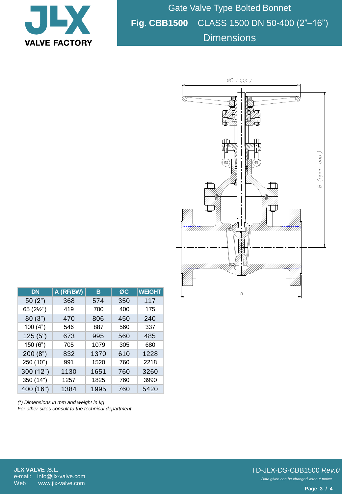

Gate Valve Type Bolted Bonnet **Fig. CBB1500** CLASS 1500 DN 50-400 (2"–16") **Dimensions** 



| <b>DN</b>  | A (RF/BW) | в    | ØC  | <b>WEIGHT</b> |
|------------|-----------|------|-----|---------------|
| 50(2")     | 368       | 574  | 350 | 117           |
| 65 (21/2") | 419       | 700  | 400 | 175           |
| 80(3")     | 470       | 806  | 450 | 240           |
| 100(4")    | 546       | 887  | 560 | 337           |
| 125(5")    | 673       | 995  | 560 | 485           |
| 150(6")    | 705       | 1079 | 305 | 680           |
| 200(8")    | 832       | 1370 | 610 | 1228          |
| 250 (10")  | 991       | 1520 | 760 | 2218          |
| 300 (12")  | 1130      | 1651 | 760 | 3260          |
| 350 (14")  | 1257      | 1825 | 760 | 3990          |
| 400 (16")  | 1384      | 1995 | 760 | 5420          |

*(\*) Dimensions in mm and weight in kg For other sizes consult to the technical department.*

**JLX VALVE ,S.L.** e-mail: info@jlx-valve.com Web: www.jlx-valve.com